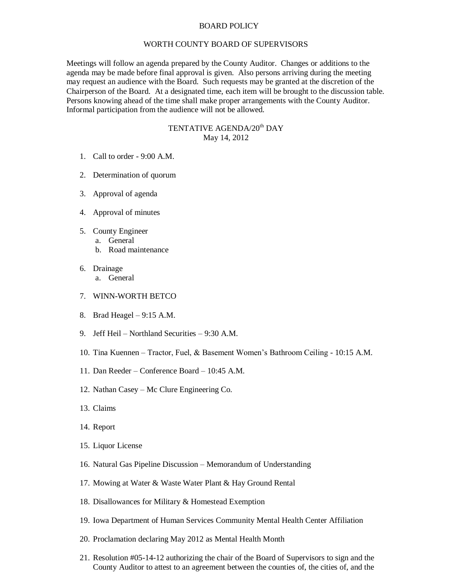## BOARD POLICY

## WORTH COUNTY BOARD OF SUPERVISORS

Meetings will follow an agenda prepared by the County Auditor. Changes or additions to the agenda may be made before final approval is given. Also persons arriving during the meeting may request an audience with the Board. Such requests may be granted at the discretion of the Chairperson of the Board. At a designated time, each item will be brought to the discussion table. Persons knowing ahead of the time shall make proper arrangements with the County Auditor. Informal participation from the audience will not be allowed.

## TENTATIVE AGENDA/20<sup>th</sup> DAY May 14, 2012

- 1. Call to order 9:00 A.M.
- 2. Determination of quorum
- 3. Approval of agenda
- 4. Approval of minutes
- 5. County Engineer
	- a. General
		- b. Road maintenance
- 6. Drainage
	- a. General
- 7. WINN-WORTH BETCO
- 8. Brad Heagel 9:15 A.M.
- 9. Jeff Heil Northland Securities 9:30 A.M.
- 10. Tina Kuennen Tractor, Fuel, & Basement Women's Bathroom Ceiling 10:15 A.M.
- 11. Dan Reeder Conference Board 10:45 A.M.
- 12. Nathan Casey Mc Clure Engineering Co.
- 13. Claims
- 14. Report
- 15. Liquor License
- 16. Natural Gas Pipeline Discussion Memorandum of Understanding
- 17. Mowing at Water & Waste Water Plant & Hay Ground Rental
- 18. Disallowances for Military & Homestead Exemption
- 19. Iowa Department of Human Services Community Mental Health Center Affiliation
- 20. Proclamation declaring May 2012 as Mental Health Month
- 21. Resolution #05-14-12 authorizing the chair of the Board of Supervisors to sign and the County Auditor to attest to an agreement between the counties of, the cities of, and the